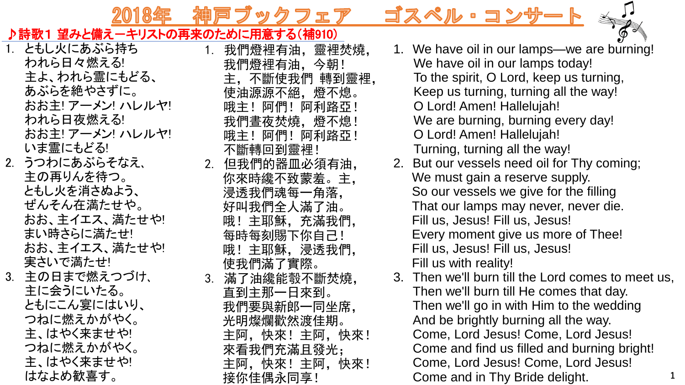フェア

1. 我們燈裡有油,靈裡焚燒,



- 1. ともし火にあぶら持ち われら日々燃える! 主よ、われら霊にもどる、 あぶらを絶やさずに。 おお主! アーメン! ハレルヤ! われら日夜燃える! おお主! アーメン! ハレルヤ! いま霊にもどる!
- 2. うつわにあぶらそなえ、 主の再りんを待つ。 ともし火を消さぬよう、 ぜんそん在満たせや。 おお、主イエス、満たせや! まい時さらに満たせ! おお、主イエス、満たせや! 実さいで満たせ! 3. 主の日まで燃えつづけ、

主に会うにいたる。

ともにこん宴にはいり、

つねに燃えかがやく。 主、はやく来ませや!

つねに燃えかがやく。 主、はやく来ませや!

はなよめ歓喜す。

- 我們燈裡有油,今朝! 主,不斷使我們 轉到靈裡, 使油源源不絕,燈不熄。 哦主!阿們!阿利路亞! 我們晝夜焚燒,燈不熄! 哦主!阿們!阿利路亞! 不斷轉回到靈裡! 2. 但我們的器皿必須有油, 你來時纔不致蒙羞。主, 浸透我們魂每一角落, 好叫我們全人滿了油。 哦!主耶穌,充滿我們, 每時每刻賜下你自己! 哦!主耶穌,浸透我們, 使我們滿了實際。 3. 滿了油纔能彀不斷焚燒, 直到主那一日來到。 我們要與新郎一同坐席, 光明燦爛歡然渡佳期。 主阿,快來!主阿,快來! 來看我們充滿且發光; 主阿,快來!主阿,快來! 接你佳偶永同享!
- 1. We have oil in our lamps—we are burning! We have oil in our lamps today! To the spirit, O Lord, keep us turning, Keep us turning, turning all the way! O Lord! Amen! Hallelujah! We are burning, burning every day! O Lord! Amen! Hallelujah! Turning, turning all the way!

ĢΦ

- 2. But our vessels need oil for Thy coming; We must gain a reserve supply. So our vessels we give for the filling That our lamps may never, never die. Fill us, Jesus! Fill us, Jesus! Every moment give us more of Thee! Fill us, Jesus! Fill us, Jesus! Fill us with reality!
- 3. Then we'll burn till the Lord comes to meet us, Then we'll burn till He comes that day. Then we'll go in with Him to the wedding And be brightly burning all the way. Come, Lord Jesus! Come, Lord Jesus! Come and find us filled and burning bright! Come, Lord Jesus! Come, Lord Jesus! Come and in Thy Bride delight. **<sup>1</sup>**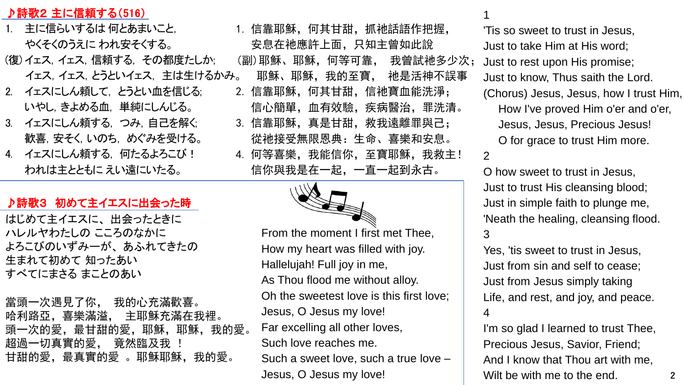## ♪詩歌2 主に信頼する(516)

- 1. 主に信らいするは 何とあまいこと, やくそくのうえに われ安そくする。
- (復) イェス,イェス,信頼する, その都度たしか; イェス,イェス,とうといイェス, 主は生けるかみ。
- 2. イェスにしん頼して, とうとい血を信じる; いやし,きよめる血, 単純にしんじる。
- 3. イェスにしん頼する, つみ,自己を解く; 歓喜,安そく,いのち, めぐみを受ける。
- 4. イェスにしん頼する, 何たるよろこび! われは主とともに えい遠にいたる。

## ♪詩歌3 初めて主イエスに出会った時

はじめて主イエスに、 出会ったときに ハレルヤわたしの こころのなかに よろこびのいずみーが、 あふれてきたの 生まれて初めて 知ったあい すべてにまさる まことのあい

當頭一次遇見了你, 我的心充滿歡喜。 哈利路亞,喜樂滿溢, 主耶穌充滿在我裡。 頭一次的愛, 最甘甜的愛, 耶穌, 耶穌, 我的愛。 超過一切真實的愛, 竟然臨及我 ! 甘甜的愛, 最真實的愛 。耶穌耶穌, 我的愛。

1. 信靠耶穌,何其甘甜,抓祂話語作把握, 安息在祂應許上面,只知主曾如此說 (副)耶穌、耶穌,何等可靠, 我曾試祂多少次; 耶穌、耶穌,我的至寶, 祂是活神不誤事 2. 信靠耶穌,何其甘甜,信祂寶血能洗淨; 信心簡單,血有效驗,疾病醫治,罪洗清。 3. 信靠耶穌,真是甘甜,救我遠離罪與己; 從祂接受無限恩典:生命、喜樂和安息。 4. 何等喜樂, 我能信你, 至寶耶穌, 我救主! 信你與我是在一起,一直一起到永古。

> From the moment I first met Thee, How my heart was filled with joy. Hallelujah! Full joy in me, As Thou flood me without alloy. Oh the sweetest love is this first love; Jesus, O Jesus my love! Far excelling all other loves, Such love reaches me. Such a sweet love, such a true love – Jesus, O Jesus my love! **2**

1

'Tis so sweet to trust in Jesus, Just to take Him at His word; Just to rest upon His promise; Just to know, Thus saith the Lord. (Chorus) Jesus, Jesus, how I trust Him, How I've proved Him o'er and o'er, Jesus, Jesus, Precious Jesus! O for grace to trust Him more. 2

O how sweet to trust in Jesus, Just to trust His cleansing blood; Just in simple faith to plunge me, 'Neath the healing, cleansing flood. 3

Yes, 'tis sweet to trust in Jesus, Just from sin and self to cease; Just from Jesus simply taking Life, and rest, and joy, and peace. 4

I'm so glad I learned to trust Thee, Precious Jesus, Savior, Friend; And I know that Thou art with me, Wilt be with me to the end.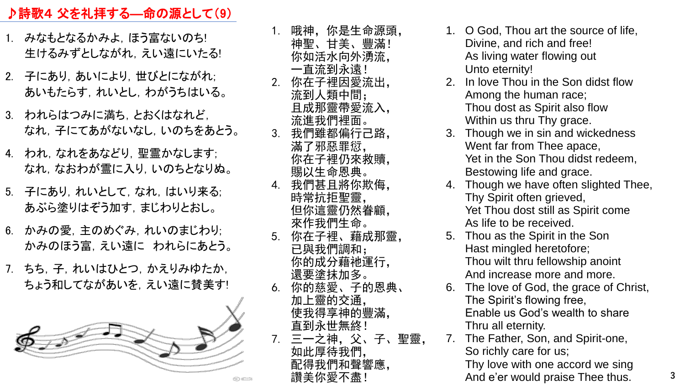## ♪詩歌4 父を礼拝する―命の源として(9)

- 1. みなもとなるかみよ, ほう富ないのち! 生けるみずとしながれ,えい遠にいたる!
- 2. 子にあり、あいにより、世びとにながれ; あいもたらす,れいとし,わがうちはいる。
- 3. われらはつみに満ち,とおくはなれど, なれ,子にてあがないなし,いのちをあとう。
- 4. われ,なれをあなどり,聖霊かなします; なれ,なおわが霊に入り,いのちとなりぬ。
- 5. 子にあり、れいとして、なれ、はいり来る; あぶら塗りはぞう加す,まじわりとおし。
- 6. かみの愛,主のめぐみ,れいのまじわり; かみのほう富,えい遠に われらにあとう。
- 7. ちち,子,れいはひとつ,かえりみゆたか, ちょう和してながあいを、えい遠に賛美す!



1. 哦神,你是生命源頭, 神聖、甘美、豐滿! 你如活水向外湧流, 一直流到永遠! 2. 你在子裡因愛流出, 流到人類中間; 且成那靈帶愛流入, 流進我們裡面。 3. 我們雖都偏行己路, 滿了邪惡罪愆, 你在子裡仍來救贖, 賜以生命恩典。 4. 我們甚且將你欺侮, 時常抗拒聖靈, 但你這靈仍然眷顧, 來作我們生命。 5. 你在子裡、藉成那靈, 已與我們調和; 你的成分藉祂運行, 還要塗抹加多。 6. 你的慈愛、子的恩典、 加上靈的交通, 使我得享神的豐滿, 直到永世無終! 7. 三一之神,父、子、聖靈, 如此厚待我們, 配得我們和聲響應, 讚美你愛不盡!

- 1. O God, Thou art the source of life, Divine, and rich and free! As living water flowing out Unto eternity!
- 2. In love Thou in the Son didst flow Among the human race; Thou dost as Spirit also flow Within us thru Thy grace.
- 3. Though we in sin and wickedness Went far from Thee apace, Yet in the Son Thou didst redeem, Bestowing life and grace.
- 4. Though we have often slighted Thee, Thy Spirit often grieved, Yet Thou dost still as Spirit come As life to be received.
- 5. Thou as the Spirit in the Son Hast mingled heretofore; Thou wilt thru fellowship anoint And increase more and more.
- 6. The love of God, the grace of Christ, The Spirit's flowing free, Enable us God's wealth to share Thru all eternity.
- 7. The Father, Son, and Spirit-one, So richly care for us;

Thy love with one accord we sing And e'er would praise Thee thus. **3**